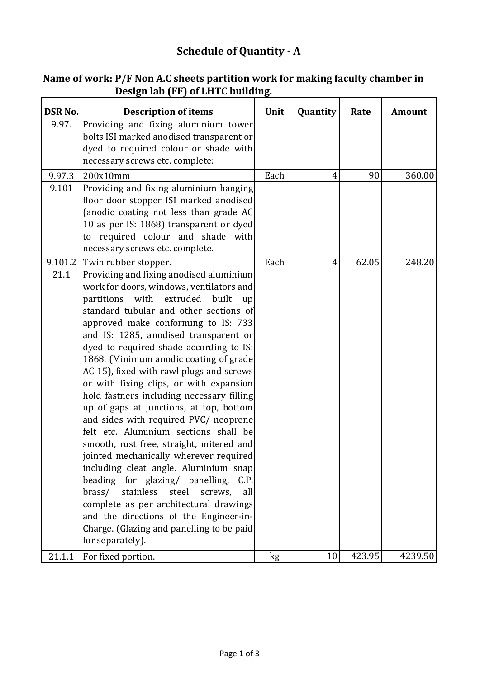## **Schedule of Quantity - A**

|                | <b>Design Riv</b> (11) or 2011 <del>o</del> Dunum                                    |      |          |        |               |
|----------------|--------------------------------------------------------------------------------------|------|----------|--------|---------------|
| <b>DSR No.</b> | <b>Description of items</b>                                                          | Unit | Quantity | Rate   | <b>Amount</b> |
| 9.97.          | Providing and fixing aluminium tower                                                 |      |          |        |               |
|                | bolts ISI marked anodised transparent or                                             |      |          |        |               |
|                | dyed to required colour or shade with                                                |      |          |        |               |
|                | necessary screws etc. complete:                                                      |      |          |        |               |
| 9.97.3         | 200x10mm                                                                             | Each | 4        | 90     | 360.00        |
| 9.101          | Providing and fixing aluminium hanging                                               |      |          |        |               |
|                | floor door stopper ISI marked anodised                                               |      |          |        |               |
|                | (anodic coating not less than grade AC<br>10 as per IS: 1868) transparent or dyed    |      |          |        |               |
|                | to required colour and shade with                                                    |      |          |        |               |
|                | necessary screws etc. complete.                                                      |      |          |        |               |
| 9.101.2        | Twin rubber stopper.                                                                 | Each | 4        | 62.05  | 248.20        |
| 21.1           | Providing and fixing anodised aluminium                                              |      |          |        |               |
|                | work for doors, windows, ventilators and                                             |      |          |        |               |
|                | with<br>extruded<br>partitions<br>built<br>up                                        |      |          |        |               |
|                | standard tubular and other sections of                                               |      |          |        |               |
|                | approved make conforming to IS: 733                                                  |      |          |        |               |
|                | and IS: 1285, anodised transparent or                                                |      |          |        |               |
|                | dyed to required shade according to IS:                                              |      |          |        |               |
|                | 1868. (Minimum anodic coating of grade                                               |      |          |        |               |
|                | AC 15), fixed with rawl plugs and screws                                             |      |          |        |               |
|                | or with fixing clips, or with expansion<br>hold fastners including necessary filling |      |          |        |               |
|                | up of gaps at junctions, at top, bottom                                              |      |          |        |               |
|                | and sides with required PVC/ neoprene                                                |      |          |        |               |
|                | felt etc. Aluminium sections shall be                                                |      |          |        |               |
|                | smooth, rust free, straight, mitered and                                             |      |          |        |               |
|                | jointed mechanically wherever required                                               |      |          |        |               |
|                | including cleat angle. Aluminium snap                                                |      |          |        |               |
|                | beading for glazing/ panelling,<br>C.P.                                              |      |          |        |               |
|                | brass/<br>stainless<br>steel<br>screws,<br>all                                       |      |          |        |               |
|                | complete as per architectural drawings                                               |      |          |        |               |
|                | and the directions of the Engineer-in-                                               |      |          |        |               |
|                | Charge. (Glazing and panelling to be paid<br>for separately).                        |      |          |        |               |
|                |                                                                                      |      |          |        |               |
| 21.1.1         | For fixed portion.                                                                   | kg   | 10       | 423.95 | 4239.50       |

## **Name of work: P/F Non A.C sheets partition work for making faculty chamber in Design lab (FF) of LHTC building.**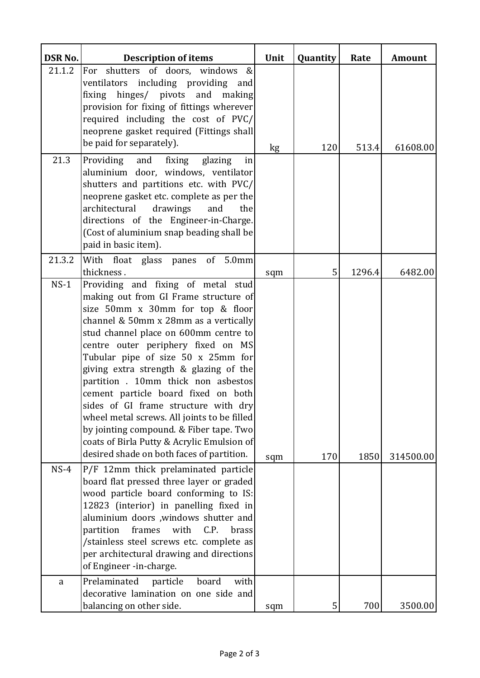| <b>DSR No.</b> | <b>Description of items</b>                                                                                                                                                                                                                                                                                                                                                                                                                                                                                                                                                                                                        | Unit | Quantity | Rate   | <b>Amount</b> |
|----------------|------------------------------------------------------------------------------------------------------------------------------------------------------------------------------------------------------------------------------------------------------------------------------------------------------------------------------------------------------------------------------------------------------------------------------------------------------------------------------------------------------------------------------------------------------------------------------------------------------------------------------------|------|----------|--------|---------------|
| 21.1.2         | shutters of doors, windows<br>&<br>For<br>ventilators including providing and<br>fixing hinges/ pivots and making<br>provision for fixing of fittings wherever<br>required including the cost of PVC/<br>neoprene gasket required (Fittings shall)<br>be paid for separately).                                                                                                                                                                                                                                                                                                                                                     | kg   | 120      | 513.4  | 61608.00      |
| 21.3           | and fixing glazing<br>Providing<br>in<br>aluminium door, windows, ventilator<br>shutters and partitions etc. with PVC/<br>neoprene gasket etc. complete as per the<br>architectural<br>drawings<br>and<br>the<br>directions of the Engineer-in-Charge.<br>(Cost of aluminium snap beading shall be<br>paid in basic item).                                                                                                                                                                                                                                                                                                         |      |          |        |               |
| 21.3.2         | With float glass panes of 5.0mm<br>thickness.                                                                                                                                                                                                                                                                                                                                                                                                                                                                                                                                                                                      | sqm  | 5        | 1296.4 | 6482.00       |
| $NS-1$         | Providing and fixing of metal stud<br>making out from GI Frame structure of<br>size 50mm x 30mm for top & floor<br>channel & 50mm x 28mm as a vertically<br>stud channel place on 600mm centre to<br>centre outer periphery fixed on MS<br>Tubular pipe of size 50 x 25mm for<br>giving extra strength & glazing of the<br>partition . 10mm thick non asbestos<br>cement particle board fixed on both<br>sides of GI frame structure with dry<br>wheel metal screws. All joints to be filled<br>by jointing compound. & Fiber tape. Two<br>coats of Birla Putty & Acrylic Emulsion of<br>desired shade on both faces of partition. | sqm  | 170      | 1850   | 314500.00     |
| $NS-4$         | P/F 12mm thick prelaminated particle<br>board flat pressed three layer or graded<br>wood particle board conforming to IS:<br>12823 (interior) in panelling fixed in<br>aluminium doors , windows shutter and<br>frames<br>with<br>C.P.<br>partition<br>brass<br>/stainless steel screws etc. complete as<br>per architectural drawing and directions<br>of Engineer -in-charge.                                                                                                                                                                                                                                                    |      |          |        |               |
| a              | Prelaminated<br>particle<br>board<br>with<br>decorative lamination on one side and<br>balancing on other side.                                                                                                                                                                                                                                                                                                                                                                                                                                                                                                                     | sqm  | 5        | 700    | 3500.00       |